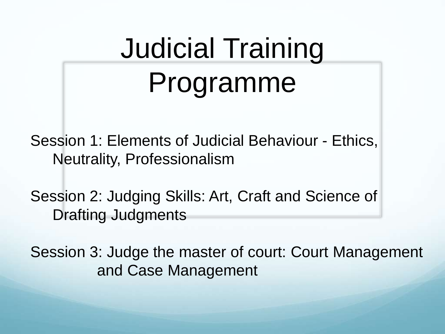# Judicial Training Programme

Session 1: Elements of Judicial Behaviour - Ethics, Neutrality, Professionalism

Session 2: Judging Skills: Art, Craft and Science of Drafting Judgments

Session 3: Judge the master of court: Court Management and Case Management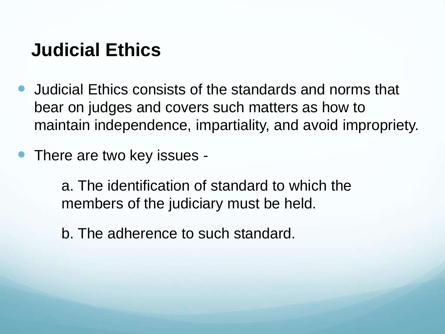### **Judicial Ethics**

- Judicial Ethics consists of the standards and norms that bear on judges and covers such matters as how to maintain independence, impartiality, and avoid impropriety.
- There are two key issues -

a. The identification of standard to which the members of the judiciary must be held.

b. The adherence to such standard.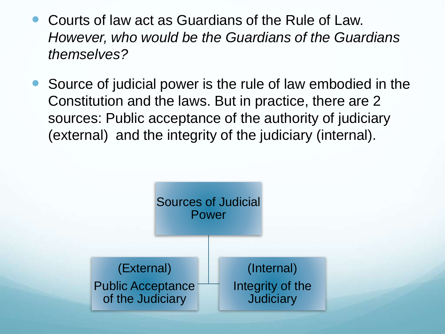- Courts of law act as Guardians of the Rule of Law. *However, who would be the Guardians of the Guardians themselves?*
- Source of judicial power is the rule of law embodied in the Constitution and the laws. But in practice, there are 2 sources: Public acceptance of the authority of judiciary (external) and the integrity of the judiciary (internal).

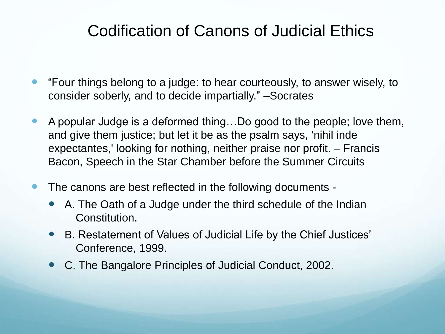### Codification of Canons of Judicial Ethics

- "Four things belong to a judge: to hear courteously, to answer wisely, to consider soberly, and to decide impartially." –Socrates
- A popular Judge is a deformed thing…Do good to the people; love them, and give them justice; but let it be as the psalm says, 'nihil inde expectantes,' looking for nothing, neither praise nor profit. – Francis Bacon, Speech in the Star Chamber before the Summer Circuits
- The canons are best reflected in the following documents -
	- A. The Oath of a Judge under the third schedule of the Indian Constitution.
	- B. Restatement of Values of Judicial Life by the Chief Justices' Conference, 1999.
	- C. The Bangalore Principles of Judicial Conduct, 2002.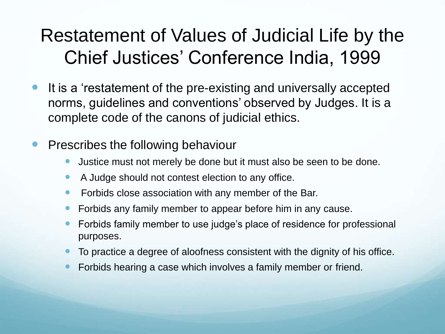# Restatement of Values of Judicial Life by the Chief Justices' Conference India, 1999

- It is a 'restatement of the pre-existing and universally accepted norms, guidelines and conventions' observed by Judges. It is a complete code of the canons of judicial ethics.
- Prescribes the following behaviour
	- Justice must not merely be done but it must also be seen to be done.
	- A Judge should not contest election to any office.
	- Forbids close association with any member of the Bar.
	- Forbids any family member to appear before him in any cause.
	- Forbids family member to use judge's place of residence for professional purposes.
	- To practice a degree of aloofness consistent with the dignity of his office.
	- Forbids hearing a case which involves a family member or friend.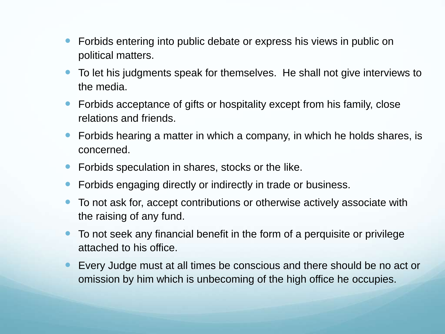- Forbids entering into public debate or express his views in public on political matters.
- To let his judgments speak for themselves. He shall not give interviews to the media.
- Forbids acceptance of gifts or hospitality except from his family, close relations and friends.
- Forbids hearing a matter in which a company, in which he holds shares, is concerned.
- Forbids speculation in shares, stocks or the like.
- Forbids engaging directly or indirectly in trade or business.
- To not ask for, accept contributions or otherwise actively associate with the raising of any fund.
- To not seek any financial benefit in the form of a perquisite or privilege attached to his office.
- Every Judge must at all times be conscious and there should be no act or omission by him which is unbecoming of the high office he occupies.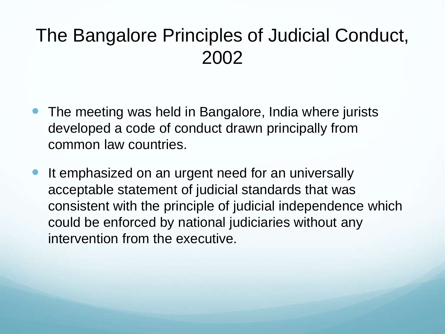# The Bangalore Principles of Judicial Conduct, 2002

- The meeting was held in Bangalore, India where jurists developed a code of conduct drawn principally from common law countries.
- It emphasized on an urgent need for an universally acceptable statement of judicial standards that was consistent with the principle of judicial independence which could be enforced by national judiciaries without any intervention from the executive.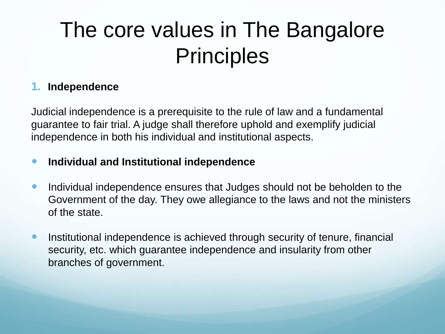# The core values in The Bangalore **Principles**

#### **1. Independence**

Judicial independence is a prerequisite to the rule of law and a fundamental guarantee to fair trial. A judge shall therefore uphold and exemplify judicial independence in both his individual and institutional aspects.

#### **Individual and Institutional independence**

- Individual independence ensures that Judges should not be beholden to the Government of the day. They owe allegiance to the laws and not the ministers of the state.
- Institutional independence is achieved through security of tenure, financial security, etc. which guarantee independence and insularity from other branches of government.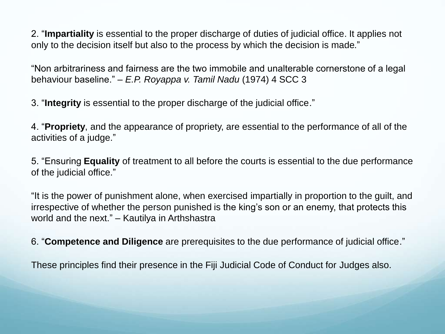2. "**Impartiality** is essential to the proper discharge of duties of judicial office. It applies not only to the decision itself but also to the process by which the decision is made."

"Non arbitrariness and fairness are the two immobile and unalterable cornerstone of a legal behaviour baseline." *– E.P. Royappa v. Tamil Nadu* (1974) 4 SCC 3

3. "**Integrity** is essential to the proper discharge of the judicial office."

4. "**Propriety**, and the appearance of propriety, are essential to the performance of all of the activities of a judge."

5. "Ensuring **Equality** of treatment to all before the courts is essential to the due performance of the judicial office."

"It is the power of punishment alone, when exercised impartially in proportion to the guilt, and irrespective of whether the person punished is the king's son or an enemy, that protects this world and the next." – Kautilya in Arthshastra

6. "**Competence and Diligence** are prerequisites to the due performance of judicial office."

These principles find their presence in the Fiji Judicial Code of Conduct for Judges also.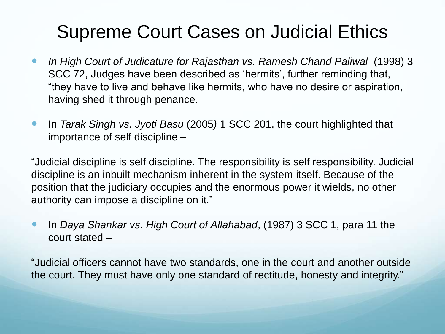# Supreme Court Cases on Judicial Ethics

- *In High Court of Judicature for Rajasthan vs. Ramesh Chand Paliwal* (1998) 3 SCC 72, Judges have been described as 'hermits', further reminding that, "they have to live and behave like hermits, who have no desire or aspiration, having shed it through penance.
- In *Tarak Singh vs. Jyoti Basu* (2005*)* 1 SCC 201, the court highlighted that importance of self discipline –

"Judicial discipline is self discipline. The responsibility is self responsibility. Judicial discipline is an inbuilt mechanism inherent in the system itself. Because of the position that the judiciary occupies and the enormous power it wields, no other authority can impose a discipline on it."

 In *Daya Shankar vs. High Court of Allahabad*, (1987) 3 SCC 1, para 11 the court stated –

"Judicial officers cannot have two standards, one in the court and another outside the court. They must have only one standard of rectitude, honesty and integrity."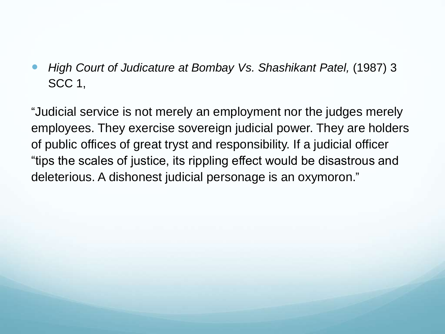*High Court of Judicature at Bombay Vs. Shashikant Patel,* (1987) 3 SCC 1,

"Judicial service is not merely an employment nor the judges merely employees. They exercise sovereign judicial power. They are holders of public offices of great tryst and responsibility. If a judicial officer "tips the scales of justice, its rippling effect would be disastrous and deleterious. A dishonest judicial personage is an oxymoron."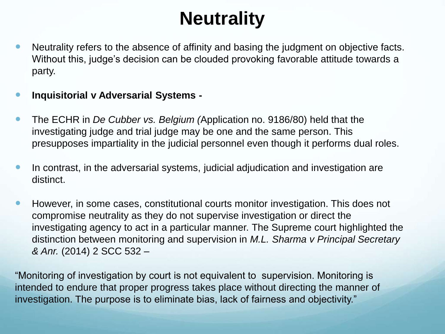# **Neutrality**

- Neutrality refers to the absence of affinity and basing the judgment on objective facts. Without this, judge's decision can be clouded provoking favorable attitude towards a party.
- **Inquisitorial v Adversarial Systems -**
- The ECHR in *De Cubber vs. Belgium (*Application no. 9186/80) held that the investigating judge and trial judge may be one and the same person. This presupposes impartiality in the judicial personnel even though it performs dual roles.
- In contrast, in the adversarial systems, judicial adjudication and investigation are distinct.
- However, in some cases, constitutional courts monitor investigation. This does not compromise neutrality as they do not supervise investigation or direct the investigating agency to act in a particular manner. The Supreme court highlighted the distinction between monitoring and supervision in *M.L. Sharma v Principal Secretary & Anr.* (2014) 2 SCC 532 –

"Monitoring of investigation by court is not equivalent to supervision. Monitoring is intended to endure that proper progress takes place without directing the manner of investigation. The purpose is to eliminate bias, lack of fairness and objectivity."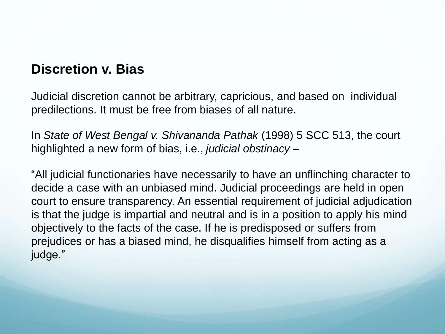### **Discretion v. Bias**

Judicial discretion cannot be arbitrary, capricious, and based on individual predilections. It must be free from biases of all nature.

In *State of West Bengal v. Shivananda Pathak* (1998) 5 SCC 513, the court highlighted a new form of bias, i.e., *judicial obstinacy* –

"All judicial functionaries have necessarily to have an unflinching character to decide a case with an unbiased mind. Judicial proceedings are held in open court to ensure transparency. An essential requirement of judicial adjudication is that the judge is impartial and neutral and is in a position to apply his mind objectively to the facts of the case. If he is predisposed or suffers from prejudices or has a biased mind, he disqualifies himself from acting as a judge."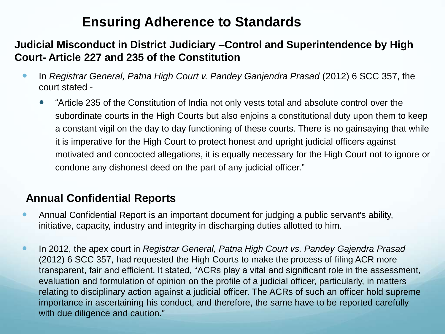### **Ensuring Adherence to Standards**

#### **Judicial Misconduct in District Judiciary –Control and Superintendence by High Court- Article 227 and 235 of the Constitution**

- **In** *Registrar General, Patna High Court v. Pandey Ganjendra Prasad (2012) 6 SCC 357, the* court stated -
	- "Article 235 of the Constitution of India not only vests total and absolute control over the subordinate courts in the High Courts but also enjoins a constitutional duty upon them to keep a constant vigil on the day to day functioning of these courts. There is no gainsaying that while it is imperative for the High Court to protect honest and upright judicial officers against motivated and concocted allegations, it is equally necessary for the High Court not to ignore or condone any dishonest deed on the part of any judicial officer."

#### **Annual Confidential Reports**

- Annual Confidential Report is an important document for judging a public servant's ability, initiative, capacity, industry and integrity in discharging duties allotted to him.
- In 2012, the apex court in *Registrar General, Patna High Court vs. Pandey Gajendra Prasad*  (2012) 6 SCC 357, had requested the High Courts to make the process of filing ACR more transparent, fair and efficient. It stated, "ACRs play a vital and significant role in the assessment, evaluation and formulation of opinion on the profile of a judicial officer, particularly, in matters relating to disciplinary action against a judicial officer. The ACRs of such an officer hold supreme importance in ascertaining his conduct, and therefore, the same have to be reported carefully with due diligence and caution."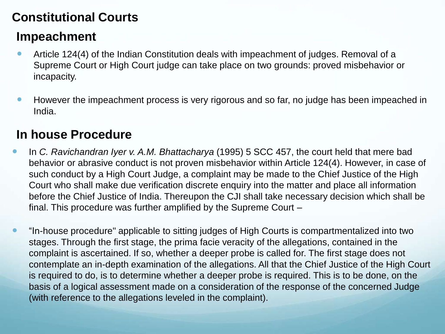### **Constitutional Courts**

### **Impeachment**

- Article 124(4) of the Indian Constitution deals with impeachment of judges. Removal of a Supreme Court or High Court judge can take place on two grounds: proved misbehavior or incapacity.
- **However the impeachment process is very rigorous and so far, no judge has been impeached in** India.

### **In house Procedure**

- In *C. Ravichandran Iyer v. A.M. Bhattacharya* (1995) 5 SCC 457, the court held that mere bad behavior or abrasive conduct is not proven misbehavior within Article 124(4). However, in case of such conduct by a High Court Judge, a complaint may be made to the Chief Justice of the High Court who shall make due verification discrete enquiry into the matter and place all information before the Chief Justice of India. Thereupon the CJI shall take necessary decision which shall be final. This procedure was further amplified by the Supreme Court –
- "In-house procedure" applicable to sitting judges of High Courts is compartmentalized into two stages. Through the first stage, the prima facie veracity of the allegations, contained in the complaint is ascertained. If so, whether a deeper probe is called for. The first stage does not contemplate an in-depth examination of the allegations. All that the Chief Justice of the High Court is required to do, is to determine whether a deeper probe is required. This is to be done, on the basis of a logical assessment made on a consideration of the response of the concerned Judge (with reference to the allegations leveled in the complaint).